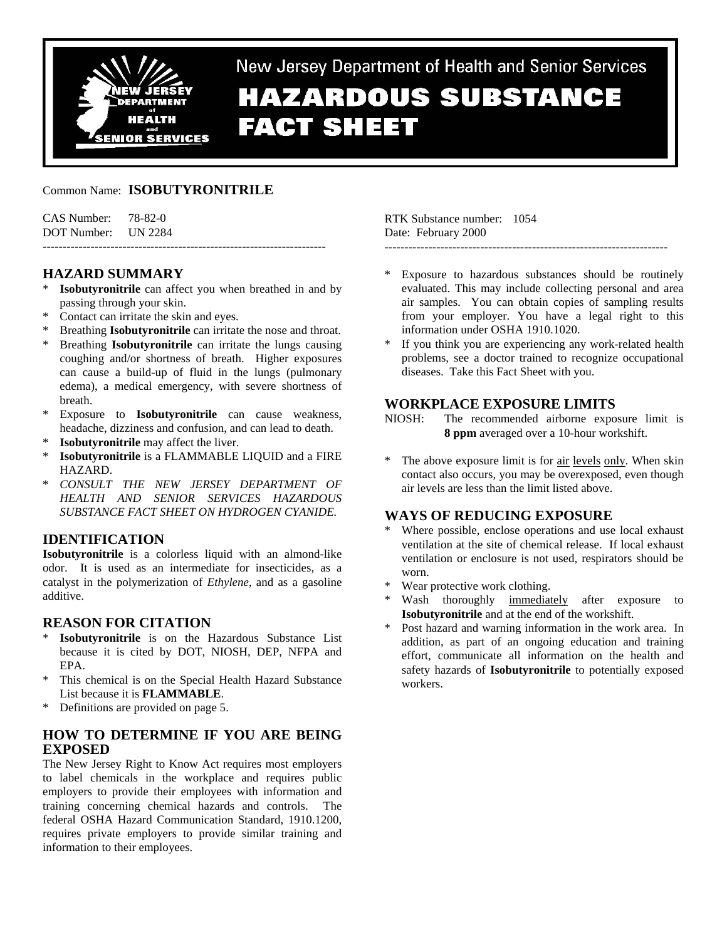

New Jersey Department of Health and Senior Services **HAZARDOUS SUBSTANCE FACT SHEET** 

# Common Name: **ISOBUTYRONITRILE**

| CAS Number: | 78-82-0        |
|-------------|----------------|
| DOT Number: | <b>UN 2284</b> |

# **HAZARD SUMMARY**

**Isobutyronitrile** can affect you when breathed in and by passing through your skin.

-----------------------------------------------------------------------

- \* Contact can irritate the skin and eyes.
- Breathing **Isobutyronitrile** can irritate the nose and throat.
- \* Breathing **Isobutyronitrile** can irritate the lungs causing coughing and/or shortness of breath. Higher exposures can cause a build-up of fluid in the lungs (pulmonary edema), a medical emergency, with severe shortness of breath.
- \* Exposure to **Isobutyronitrile** can cause weakness, headache, dizziness and confusion, and can lead to death.
- **Isobutyronitrile** may affect the liver.
- **Isobutyronitrile** is a FLAMMABLE LIQUID and a FIRE HAZARD.
- \* *CONSULT THE NEW JERSEY DEPARTMENT OF HEALTH AND SENIOR SERVICES HAZARDOUS SUBSTANCE FACT SHEET ON HYDROGEN CYANIDE.*

# **IDENTIFICATION**

**Isobutyronitrile** is a colorless liquid with an almond-like odor. It is used as an intermediate for insecticides, as a catalyst in the polymerization of *Ethylene*, and as a gasoline additive.

# **REASON FOR CITATION**

- **Isobutyronitrile** is on the Hazardous Substance List because it is cited by DOT, NIOSH, DEP, NFPA and EPA.
- \* This chemical is on the Special Health Hazard Substance List because it is **FLAMMABLE**.
- \* Definitions are provided on page 5.

# **HOW TO DETERMINE IF YOU ARE BEING EXPOSED**

The New Jersey Right to Know Act requires most employers to label chemicals in the workplace and requires public employers to provide their employees with information and training concerning chemical hazards and controls. The federal OSHA Hazard Communication Standard, 1910.1200, requires private employers to provide similar training and information to their employees.

RTK Substance number: 1054 Date: February 2000

-----------------------------------------------------------------------

- Exposure to hazardous substances should be routinely evaluated. This may include collecting personal and area air samples. You can obtain copies of sampling results from your employer. You have a legal right to this information under OSHA 1910.1020.
- \* If you think you are experiencing any work-related health problems, see a doctor trained to recognize occupational diseases. Take this Fact Sheet with you.

# **WORKPLACE EXPOSURE LIMITS**

NIOSH: The recommended airborne exposure limit is **8 ppm** averaged over a 10-hour workshift.

The above exposure limit is for air levels only. When skin contact also occurs, you may be overexposed, even though air levels are less than the limit listed above.

## **WAYS OF REDUCING EXPOSURE**

- Where possible, enclose operations and use local exhaust ventilation at the site of chemical release. If local exhaust ventilation or enclosure is not used, respirators should be worn.
- \* Wear protective work clothing.
- Wash thoroughly immediately after exposure to **Isobutyronitrile** and at the end of the workshift.
- Post hazard and warning information in the work area. In addition, as part of an ongoing education and training effort, communicate all information on the health and safety hazards of **Isobutyronitrile** to potentially exposed workers.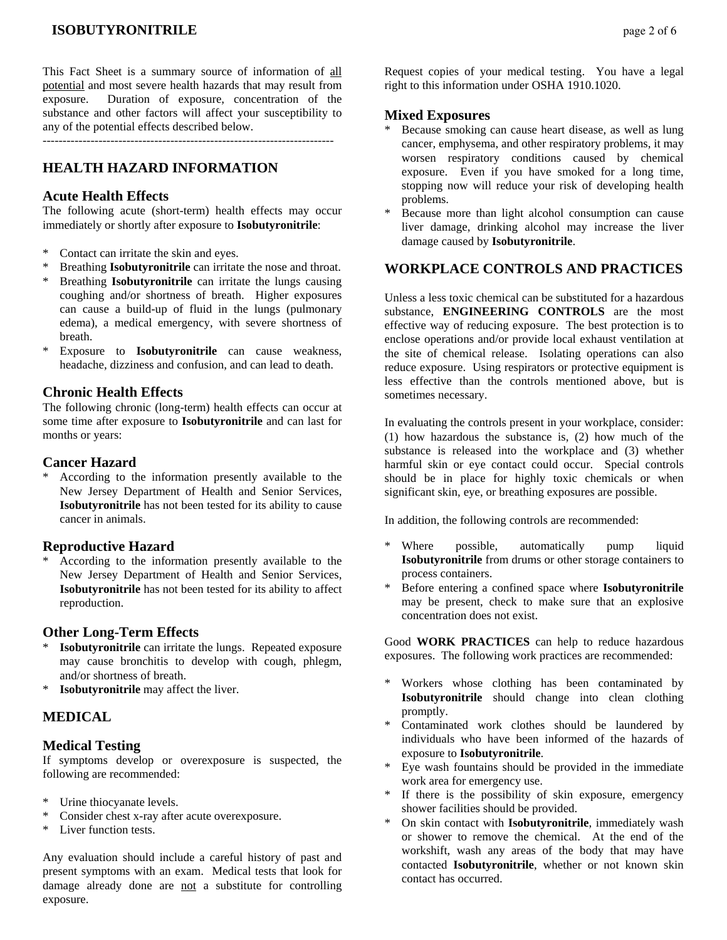# **ISOBUTYRONITRILE** page 2 of 6

This Fact Sheet is a summary source of information of all potential and most severe health hazards that may result from exposure. Duration of exposure, concentration of the substance and other factors will affect your susceptibility to any of the potential effects described below.

-------------------------------------------------------------------------

# **HEALTH HAZARD INFORMATION**

#### **Acute Health Effects**

The following acute (short-term) health effects may occur immediately or shortly after exposure to **Isobutyronitrile**:

- \* Contact can irritate the skin and eyes.
- \* Breathing **Isobutyronitrile** can irritate the nose and throat.
- Breathing **Isobutyronitrile** can irritate the lungs causing coughing and/or shortness of breath. Higher exposures can cause a build-up of fluid in the lungs (pulmonary edema), a medical emergency, with severe shortness of breath.
- \* Exposure to **Isobutyronitrile** can cause weakness, headache, dizziness and confusion, and can lead to death.

## **Chronic Health Effects**

The following chronic (long-term) health effects can occur at some time after exposure to **Isobutyronitrile** and can last for months or years:

## **Cancer Hazard**

According to the information presently available to the New Jersey Department of Health and Senior Services, **Isobutyronitrile** has not been tested for its ability to cause cancer in animals.

#### **Reproductive Hazard**

According to the information presently available to the New Jersey Department of Health and Senior Services, **Isobutyronitrile** has not been tested for its ability to affect reproduction.

## **Other Long-Term Effects**

- **Isobutyronitrile** can irritate the lungs. Repeated exposure may cause bronchitis to develop with cough, phlegm, and/or shortness of breath.
- \* **Isobutyronitrile** may affect the liver.

## **MEDICAL**

#### **Medical Testing**

If symptoms develop or overexposure is suspected, the following are recommended:

- \* Urine thiocyanate levels.
- Consider chest x-ray after acute overexposure.
- \* Liver function tests.

Any evaluation should include a careful history of past and present symptoms with an exam. Medical tests that look for damage already done are not a substitute for controlling exposure.

Request copies of your medical testing. You have a legal right to this information under OSHA 1910.1020.

#### **Mixed Exposures**

- Because smoking can cause heart disease, as well as lung cancer, emphysema, and other respiratory problems, it may worsen respiratory conditions caused by chemical exposure. Even if you have smoked for a long time, stopping now will reduce your risk of developing health problems.
- Because more than light alcohol consumption can cause liver damage, drinking alcohol may increase the liver damage caused by **Isobutyronitrile**.

# **WORKPLACE CONTROLS AND PRACTICES**

Unless a less toxic chemical can be substituted for a hazardous substance, **ENGINEERING CONTROLS** are the most effective way of reducing exposure. The best protection is to enclose operations and/or provide local exhaust ventilation at the site of chemical release. Isolating operations can also reduce exposure. Using respirators or protective equipment is less effective than the controls mentioned above, but is sometimes necessary.

In evaluating the controls present in your workplace, consider: (1) how hazardous the substance is, (2) how much of the substance is released into the workplace and (3) whether harmful skin or eye contact could occur. Special controls should be in place for highly toxic chemicals or when significant skin, eye, or breathing exposures are possible.

In addition, the following controls are recommended:

- \* Where possible, automatically pump liquid **Isobutyronitrile** from drums or other storage containers to process containers.
- \* Before entering a confined space where **Isobutyronitrile** may be present, check to make sure that an explosive concentration does not exist.

Good **WORK PRACTICES** can help to reduce hazardous exposures. The following work practices are recommended:

- Workers whose clothing has been contaminated by **Isobutyronitrile** should change into clean clothing promptly.
- \* Contaminated work clothes should be laundered by individuals who have been informed of the hazards of exposure to **Isobutyronitrile**.
- Eye wash fountains should be provided in the immediate work area for emergency use.
- If there is the possibility of skin exposure, emergency shower facilities should be provided.
- \* On skin contact with **Isobutyronitrile**, immediately wash or shower to remove the chemical. At the end of the workshift, wash any areas of the body that may have contacted **Isobutyronitrile**, whether or not known skin contact has occurred.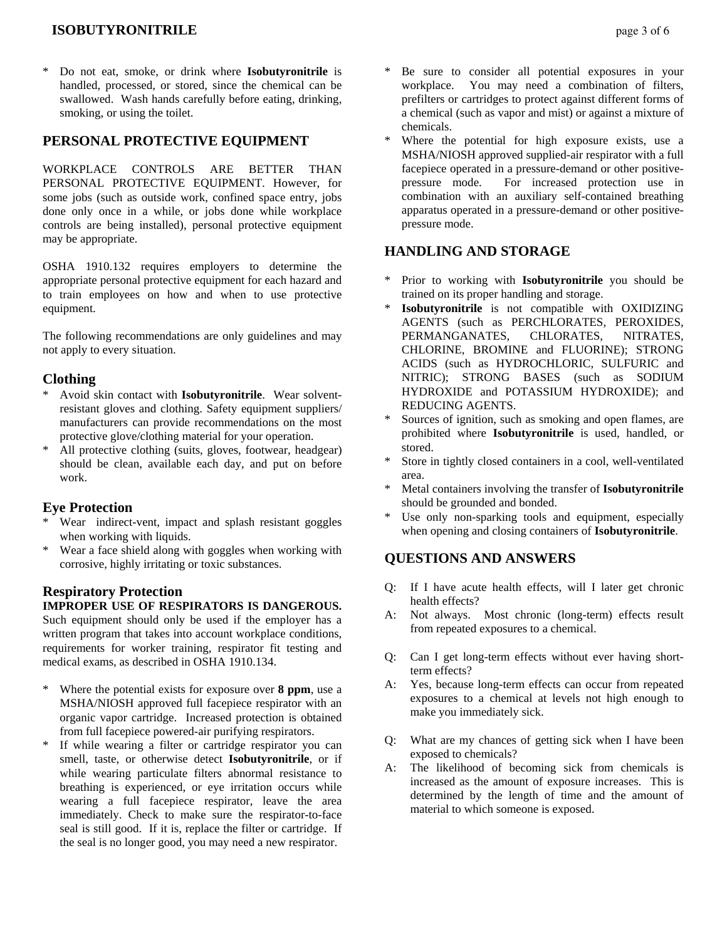# **ISOBUTYRONITRILE** page 3 of 6

Do not eat, smoke, or drink where **Isobutyronitrile** is handled, processed, or stored, since the chemical can be swallowed. Wash hands carefully before eating, drinking, smoking, or using the toilet.

# **PERSONAL PROTECTIVE EQUIPMENT**

WORKPLACE CONTROLS ARE BETTER THAN PERSONAL PROTECTIVE EQUIPMENT. However, for some jobs (such as outside work, confined space entry, jobs done only once in a while, or jobs done while workplace controls are being installed), personal protective equipment may be appropriate.

OSHA 1910.132 requires employers to determine the appropriate personal protective equipment for each hazard and to train employees on how and when to use protective equipment.

The following recommendations are only guidelines and may not apply to every situation.

## **Clothing**

- \* Avoid skin contact with **Isobutyronitrile**. Wear solventresistant gloves and clothing. Safety equipment suppliers/ manufacturers can provide recommendations on the most protective glove/clothing material for your operation.
- All protective clothing (suits, gloves, footwear, headgear) should be clean, available each day, and put on before work.

#### **Eye Protection**

- Wear indirect-vent, impact and splash resistant goggles when working with liquids.
- Wear a face shield along with goggles when working with corrosive, highly irritating or toxic substances.

## **Respiratory Protection**

#### **IMPROPER USE OF RESPIRATORS IS DANGEROUS.**

Such equipment should only be used if the employer has a written program that takes into account workplace conditions, requirements for worker training, respirator fit testing and medical exams, as described in OSHA 1910.134.

- \* Where the potential exists for exposure over **8 ppm**, use a MSHA/NIOSH approved full facepiece respirator with an organic vapor cartridge. Increased protection is obtained from full facepiece powered-air purifying respirators.
- \* If while wearing a filter or cartridge respirator you can smell, taste, or otherwise detect **Isobutyronitrile**, or if while wearing particulate filters abnormal resistance to breathing is experienced, or eye irritation occurs while wearing a full facepiece respirator, leave the area immediately. Check to make sure the respirator-to-face seal is still good. If it is, replace the filter or cartridge. If the seal is no longer good, you may need a new respirator.
- Be sure to consider all potential exposures in your workplace. You may need a combination of filters, prefilters or cartridges to protect against different forms of a chemical (such as vapor and mist) or against a mixture of chemicals.
- Where the potential for high exposure exists, use a MSHA/NIOSH approved supplied-air respirator with a full facepiece operated in a pressure-demand or other positivepressure mode. For increased protection use in combination with an auxiliary self-contained breathing apparatus operated in a pressure-demand or other positivepressure mode.

# **HANDLING AND STORAGE**

- \* Prior to working with **Isobutyronitrile** you should be trained on its proper handling and storage.
- \* **Isobutyronitrile** is not compatible with OXIDIZING AGENTS (such as PERCHLORATES, PEROXIDES, PERMANGANATES, CHLORATES, NITRATES, CHLORINE, BROMINE and FLUORINE); STRONG ACIDS (such as HYDROCHLORIC, SULFURIC and NITRIC); STRONG BASES (such as SODIUM HYDROXIDE and POTASSIUM HYDROXIDE); and REDUCING AGENTS.
- Sources of ignition, such as smoking and open flames, are prohibited where **Isobutyronitrile** is used, handled, or stored.
- Store in tightly closed containers in a cool, well-ventilated area.
- Metal containers involving the transfer of **Isobutyronitrile** should be grounded and bonded.
- Use only non-sparking tools and equipment, especially when opening and closing containers of **Isobutyronitrile**.

# **QUESTIONS AND ANSWERS**

- Q: If I have acute health effects, will I later get chronic health effects?
- A: Not always. Most chronic (long-term) effects result from repeated exposures to a chemical.
- Q: Can I get long-term effects without ever having shortterm effects?
- A: Yes, because long-term effects can occur from repeated exposures to a chemical at levels not high enough to make you immediately sick.
- Q: What are my chances of getting sick when I have been exposed to chemicals?
- A: The likelihood of becoming sick from chemicals is increased as the amount of exposure increases. This is determined by the length of time and the amount of material to which someone is exposed.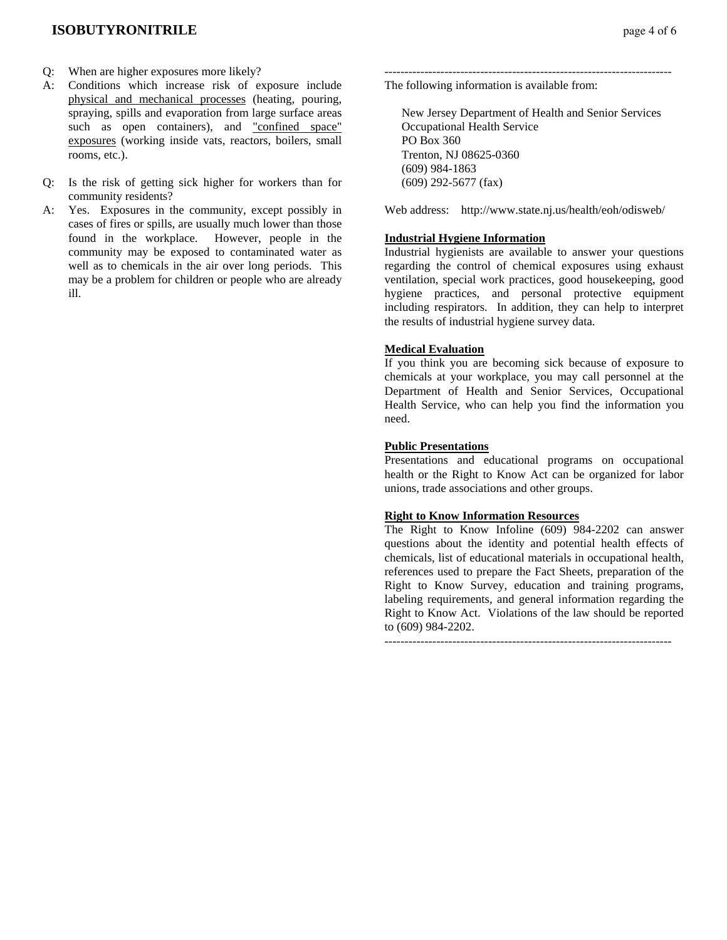- Q: When are higher exposures more likely?
- A: Conditions which increase risk of exposure include physical and mechanical processes (heating, pouring, spraying, spills and evaporation from large surface areas such as open containers), and "confined space" exposures (working inside vats, reactors, boilers, small rooms, etc.).
- Q: Is the risk of getting sick higher for workers than for community residents?
- A: Yes. Exposures in the community, except possibly in cases of fires or spills, are usually much lower than those found in the workplace. However, people in the community may be exposed to contaminated water as well as to chemicals in the air over long periods. This may be a problem for children or people who are already ill.

------------------------------------------------------------------------ The following information is available from:

 New Jersey Department of Health and Senior Services Occupational Health Service PO Box 360 Trenton, NJ 08625-0360 (609) 984-1863 (609) 292-5677 (fax)

Web address: http://www.state.nj.us/health/eoh/odisweb/

#### **Industrial Hygiene Information**

Industrial hygienists are available to answer your questions regarding the control of chemical exposures using exhaust ventilation, special work practices, good housekeeping, good hygiene practices, and personal protective equipment including respirators. In addition, they can help to interpret the results of industrial hygiene survey data.

#### **Medical Evaluation**

If you think you are becoming sick because of exposure to chemicals at your workplace, you may call personnel at the Department of Health and Senior Services, Occupational Health Service, who can help you find the information you need.

#### **Public Presentations**

Presentations and educational programs on occupational health or the Right to Know Act can be organized for labor unions, trade associations and other groups.

#### **Right to Know Information Resources**

The Right to Know Infoline (609) 984-2202 can answer questions about the identity and potential health effects of chemicals, list of educational materials in occupational health, references used to prepare the Fact Sheets, preparation of the Right to Know Survey, education and training programs, labeling requirements, and general information regarding the Right to Know Act. Violations of the law should be reported to (609) 984-2202.

------------------------------------------------------------------------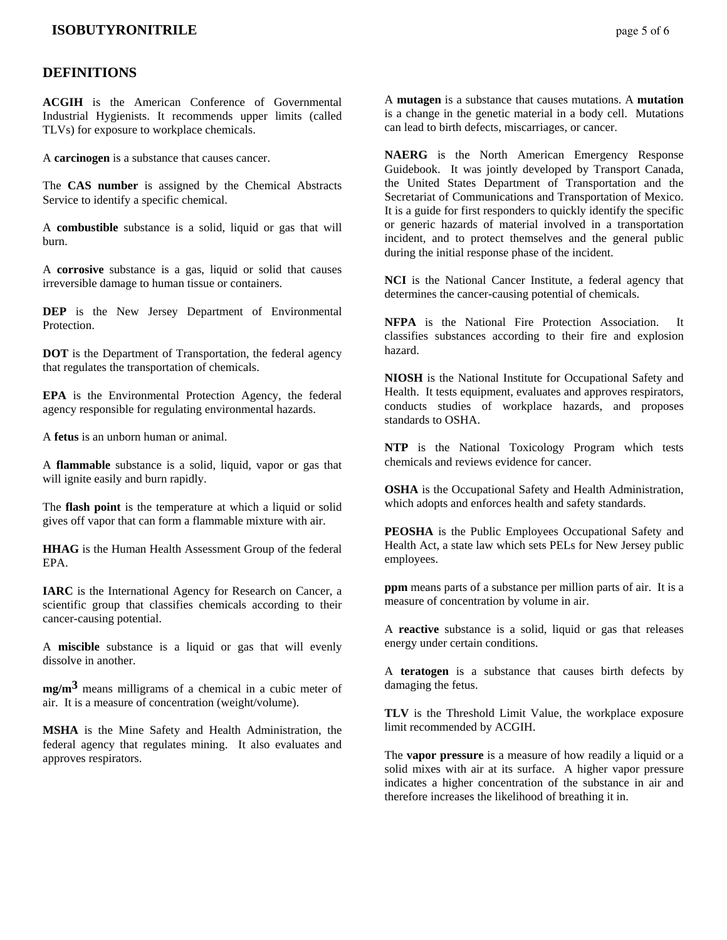## **ISOBUTYRONITRILE** page 5 of 6

## **DEFINITIONS**

**ACGIH** is the American Conference of Governmental Industrial Hygienists. It recommends upper limits (called TLVs) for exposure to workplace chemicals.

A **carcinogen** is a substance that causes cancer.

The **CAS number** is assigned by the Chemical Abstracts Service to identify a specific chemical.

A **combustible** substance is a solid, liquid or gas that will burn.

A **corrosive** substance is a gas, liquid or solid that causes irreversible damage to human tissue or containers.

**DEP** is the New Jersey Department of Environmental Protection.

**DOT** is the Department of Transportation, the federal agency that regulates the transportation of chemicals.

**EPA** is the Environmental Protection Agency, the federal agency responsible for regulating environmental hazards.

A **fetus** is an unborn human or animal.

A **flammable** substance is a solid, liquid, vapor or gas that will ignite easily and burn rapidly.

The **flash point** is the temperature at which a liquid or solid gives off vapor that can form a flammable mixture with air.

**HHAG** is the Human Health Assessment Group of the federal EPA.

**IARC** is the International Agency for Research on Cancer, a scientific group that classifies chemicals according to their cancer-causing potential.

A **miscible** substance is a liquid or gas that will evenly dissolve in another.

**mg/m3** means milligrams of a chemical in a cubic meter of air. It is a measure of concentration (weight/volume).

**MSHA** is the Mine Safety and Health Administration, the federal agency that regulates mining. It also evaluates and approves respirators.

A **mutagen** is a substance that causes mutations. A **mutation** is a change in the genetic material in a body cell. Mutations can lead to birth defects, miscarriages, or cancer.

**NAERG** is the North American Emergency Response Guidebook. It was jointly developed by Transport Canada, the United States Department of Transportation and the Secretariat of Communications and Transportation of Mexico. It is a guide for first responders to quickly identify the specific or generic hazards of material involved in a transportation incident, and to protect themselves and the general public during the initial response phase of the incident.

**NCI** is the National Cancer Institute, a federal agency that determines the cancer-causing potential of chemicals.

**NFPA** is the National Fire Protection Association. It classifies substances according to their fire and explosion hazard.

**NIOSH** is the National Institute for Occupational Safety and Health. It tests equipment, evaluates and approves respirators, conducts studies of workplace hazards, and proposes standards to OSHA.

**NTP** is the National Toxicology Program which tests chemicals and reviews evidence for cancer.

**OSHA** is the Occupational Safety and Health Administration, which adopts and enforces health and safety standards.

**PEOSHA** is the Public Employees Occupational Safety and Health Act, a state law which sets PELs for New Jersey public employees.

**ppm** means parts of a substance per million parts of air. It is a measure of concentration by volume in air.

A **reactive** substance is a solid, liquid or gas that releases energy under certain conditions.

A **teratogen** is a substance that causes birth defects by damaging the fetus.

**TLV** is the Threshold Limit Value, the workplace exposure limit recommended by ACGIH.

The **vapor pressure** is a measure of how readily a liquid or a solid mixes with air at its surface. A higher vapor pressure indicates a higher concentration of the substance in air and therefore increases the likelihood of breathing it in.